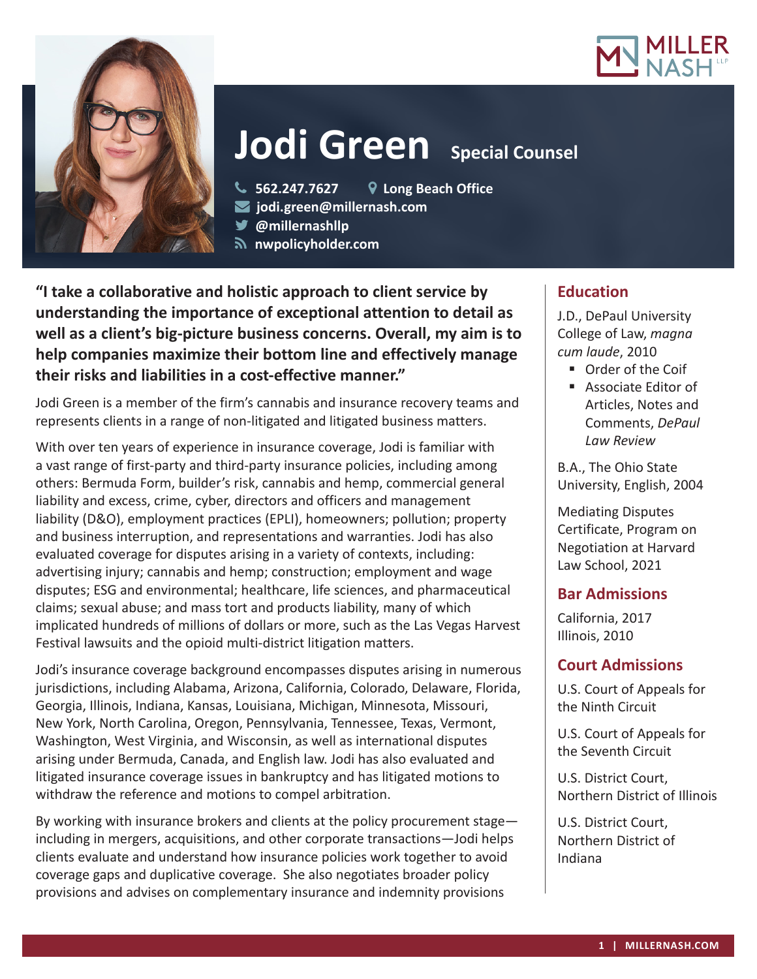



# **Jodi Green** Special Counsel

**562.247.7627 Long Beach Office**

- **jodi.green@millernash.com**
- **@millernashllp**
- **nwpolicyholder.com**

**"I take a collaborative and holistic approach to client service by understanding the importance of exceptional attention to detail as well as a client's big-picture business concerns. Overall, my aim is to help companies maximize their bottom line and effectively manage their risks and liabilities in a cost-effective manner."**

Jodi Green is a member of the firm's cannabis and insurance recovery teams and represents clients in a range of non-litigated and litigated business matters.

With over ten years of experience in insurance coverage, Jodi is familiar with a vast range of first-party and third-party insurance policies, including among others: Bermuda Form, builder's risk, cannabis and hemp, commercial general liability and excess, crime, cyber, directors and officers and management liability (D&O), employment practices (EPLI), homeowners; pollution; property and business interruption, and representations and warranties. Jodi has also evaluated coverage for disputes arising in a variety of contexts, including: advertising injury; cannabis and hemp; construction; employment and wage disputes; ESG and environmental; healthcare, life sciences, and pharmaceutical claims; sexual abuse; and mass tort and products liability, many of which implicated hundreds of millions of dollars or more, such as the Las Vegas Harvest Festival lawsuits and the opioid multi-district litigation matters.

Jodi's insurance coverage background encompasses disputes arising in numerous jurisdictions, including Alabama, Arizona, California, Colorado, Delaware, Florida, Georgia, Illinois, Indiana, Kansas, Louisiana, Michigan, Minnesota, Missouri, New York, North Carolina, Oregon, Pennsylvania, Tennessee, Texas, Vermont, Washington, West Virginia, and Wisconsin, as well as international disputes arising under Bermuda, Canada, and English law. Jodi has also evaluated and litigated insurance coverage issues in bankruptcy and has litigated motions to withdraw the reference and motions to compel arbitration.

By working with insurance brokers and clients at the policy procurement stage including in mergers, acquisitions, and other corporate transactions—Jodi helps clients evaluate and understand how insurance policies work together to avoid coverage gaps and duplicative coverage. She also negotiates broader policy provisions and advises on complementary insurance and indemnity provisions

# **Education**

J.D., DePaul University College of Law, *magna cum laude*, 2010

- Order of the Coif
- Associate Editor of Articles, Notes and Comments, *DePaul Law Review*

B.A., The Ohio State University, English, 2004

Mediating Disputes Certificate, Program on Negotiation at Harvard Law School, 2021

## **Bar Admissions**

California, 2017 Illinois, 2010

## **Court Admissions**

U.S. Court of Appeals for the Ninth Circuit

U.S. Court of Appeals for the Seventh Circuit

U.S. District Court, Northern District of Illinois

U.S. District Court, Northern District of Indiana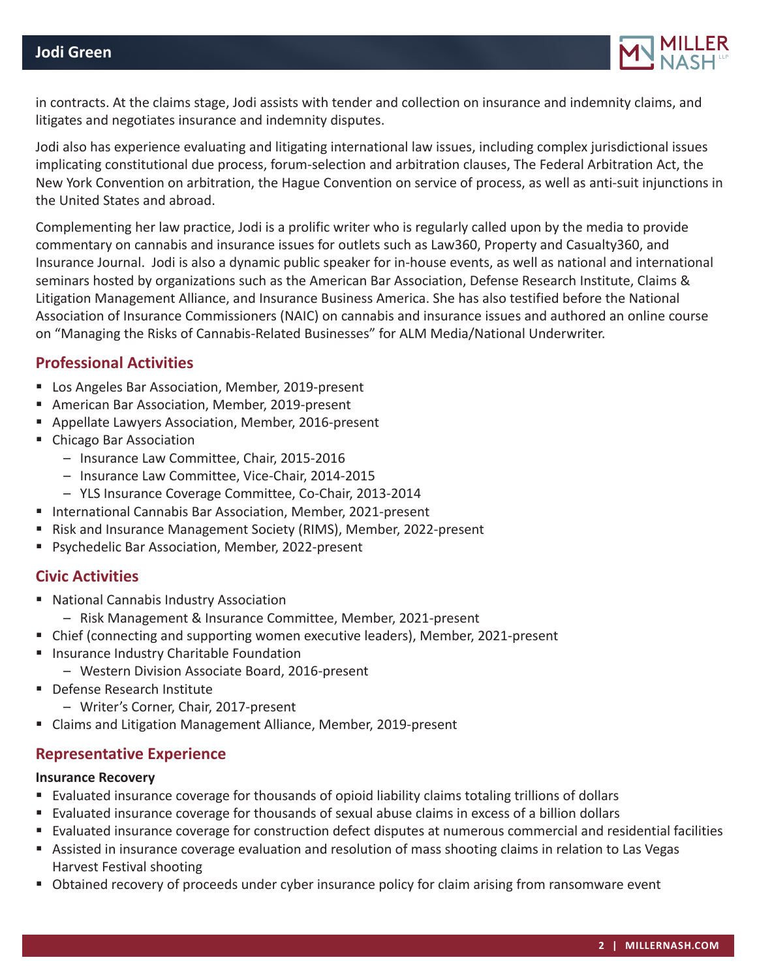

in contracts. At the claims stage, Jodi assists with tender and collection on insurance and indemnity claims, and litigates and negotiates insurance and indemnity disputes.

Jodi also has experience evaluating and litigating international law issues, including complex jurisdictional issues implicating constitutional due process, forum-selection and arbitration clauses, The Federal Arbitration Act, the New York Convention on arbitration, the Hague Convention on service of process, as well as anti-suit injunctions in the United States and abroad.

Complementing her law practice, Jodi is a prolific writer who is regularly called upon by the media to provide commentary on cannabis and insurance issues for outlets such as Law360, Property and Casualty360, and Insurance Journal. Jodi is also a dynamic public speaker for in-house events, as well as national and international seminars hosted by organizations such as the American Bar Association, Defense Research Institute, Claims & Litigation Management Alliance, and Insurance Business America. She has also testified before the National Association of Insurance Commissioners (NAIC) on cannabis and insurance issues and authored an online course on "Managing the Risks of Cannabis-Related Businesses" for ALM Media/National Underwriter.

## **Professional Activities**

- **Los Angeles Bar Association, Member, 2019-present**
- American Bar Association, Member, 2019-present
- Appellate Lawyers Association, Member, 2016-present
- Chicago Bar Association
	- Insurance Law Committee, Chair, 2015-2016
	- Insurance Law Committee, Vice-Chair, 2014-2015
	- YLS Insurance Coverage Committee, Co-Chair, 2013-2014
- International Cannabis Bar Association, Member, 2021-present
- Risk and Insurance Management Society (RIMS), Member, 2022-present
- **Psychedelic Bar Association, Member, 2022-present**

## **Civic Activities**

- National Cannabis Industry Association
	- Risk Management & Insurance Committee, Member, 2021-present
- Chief (connecting and supporting women executive leaders), Member, 2021-present
- **Insurance Industry Charitable Foundation** 
	- Western Division Associate Board, 2016-present
- **Defense Research Institute** 
	- Writer's Corner, Chair, 2017-present
- Claims and Litigation Management Alliance, Member, 2019-present

## **Representative Experience**

#### **Insurance Recovery**

- Evaluated insurance coverage for thousands of opioid liability claims totaling trillions of dollars
- Evaluated insurance coverage for thousands of sexual abuse claims in excess of a billion dollars
- Evaluated insurance coverage for construction defect disputes at numerous commercial and residential facilities
- Assisted in insurance coverage evaluation and resolution of mass shooting claims in relation to Las Vegas Harvest Festival shooting
- **D** Obtained recovery of proceeds under cyber insurance policy for claim arising from ransomware event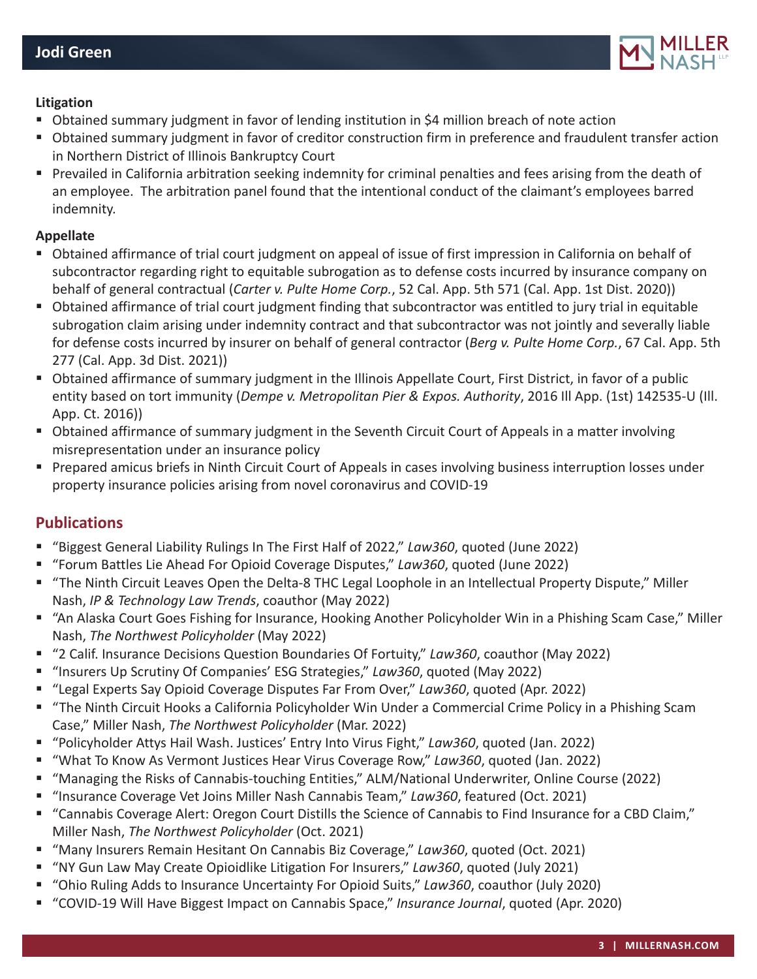

#### **Litigation**

- Obtained summary judgment in favor of lending institution in \$4 million breach of note action
- Obtained summary judgment in favor of creditor construction firm in preference and fraudulent transfer action in Northern District of Illinois Bankruptcy Court
- Prevailed in California arbitration seeking indemnity for criminal penalties and fees arising from the death of an employee. The arbitration panel found that the intentional conduct of the claimant's employees barred indemnity.

#### **Appellate**

- Obtained affirmance of trial court judgment on appeal of issue of first impression in California on behalf of subcontractor regarding right to equitable subrogation as to defense costs incurred by insurance company on behalf of general contractual (*Carter v. Pulte Home Corp.*, 52 Cal. App. 5th 571 (Cal. App. 1st Dist. 2020))
- Obtained affirmance of trial court judgment finding that subcontractor was entitled to jury trial in equitable subrogation claim arising under indemnity contract and that subcontractor was not jointly and severally liable for defense costs incurred by insurer on behalf of general contractor (*Berg v. Pulte Home Corp.*, 67 Cal. App. 5th 277 (Cal. App. 3d Dist. 2021))
- Obtained affirmance of summary judgment in the Illinois Appellate Court, First District, in favor of a public entity based on tort immunity (*Dempe v. Metropolitan Pier & Expos. Authority*, 2016 Ill App. (1st) 142535-U (Ill. App. Ct. 2016))
- Obtained affirmance of summary judgment in the Seventh Circuit Court of Appeals in a matter involving misrepresentation under an insurance policy
- Prepared amicus briefs in Ninth Circuit Court of Appeals in cases involving business interruption losses under property insurance policies arising from novel coronavirus and COVID-19

## **Publications**

- "Biggest General Liability Rulings In The First Half of 2022," *Law360*, quoted (June 2022)
- "Forum Battles Lie Ahead For Opioid Coverage Disputes," *Law360*, quoted (June 2022)
- "The Ninth Circuit Leaves Open the Delta-8 THC Legal Loophole in an Intellectual Property Dispute," Miller Nash, *IP & Technology Law Trends*, coauthor (May 2022)
- "An Alaska Court Goes Fishing for Insurance, Hooking Another Policyholder Win in a Phishing Scam Case," Miller Nash, *The Northwest Policyholder* (May 2022)
- "2 Calif. Insurance Decisions Question Boundaries Of Fortuity," *Law360*, coauthor (May 2022)
- "Insurers Up Scrutiny Of Companies' ESG Strategies," Law360, quoted (May 2022)
- "Legal Experts Say Opioid Coverage Disputes Far From Over," *Law360*, quoted (Apr. 2022)
- "The Ninth Circuit Hooks a California Policyholder Win Under a Commercial Crime Policy in a Phishing Scam Case," Miller Nash, *The Northwest Policyholder* (Mar. 2022)
- "Policyholder Attys Hail Wash. Justices' Entry Into Virus Fight," *Law360*, quoted (Jan. 2022)
- "What To Know As Vermont Justices Hear Virus Coverage Row," *Law360*, quoted (Jan. 2022)
- "Managing the Risks of Cannabis-touching Entities," ALM/National Underwriter, Online Course (2022)
- "Insurance Coverage Vet Joins Miller Nash Cannabis Team," Law360, featured (Oct. 2021)
- "Cannabis Coverage Alert: Oregon Court Distills the Science of Cannabis to Find Insurance for a CBD Claim," Miller Nash, *The Northwest Policyholder* (Oct. 2021)
- "Many Insurers Remain Hesitant On Cannabis Biz Coverage," Law360, quoted (Oct. 2021)
- "NY Gun Law May Create Opioidlike Litigation For Insurers," *Law360*, quoted (July 2021)
- "Ohio Ruling Adds to Insurance Uncertainty For Opioid Suits," *Law360*, coauthor (July 2020)
- "COVID-19 Will Have Biggest Impact on Cannabis Space," *Insurance Journal*, quoted (Apr. 2020)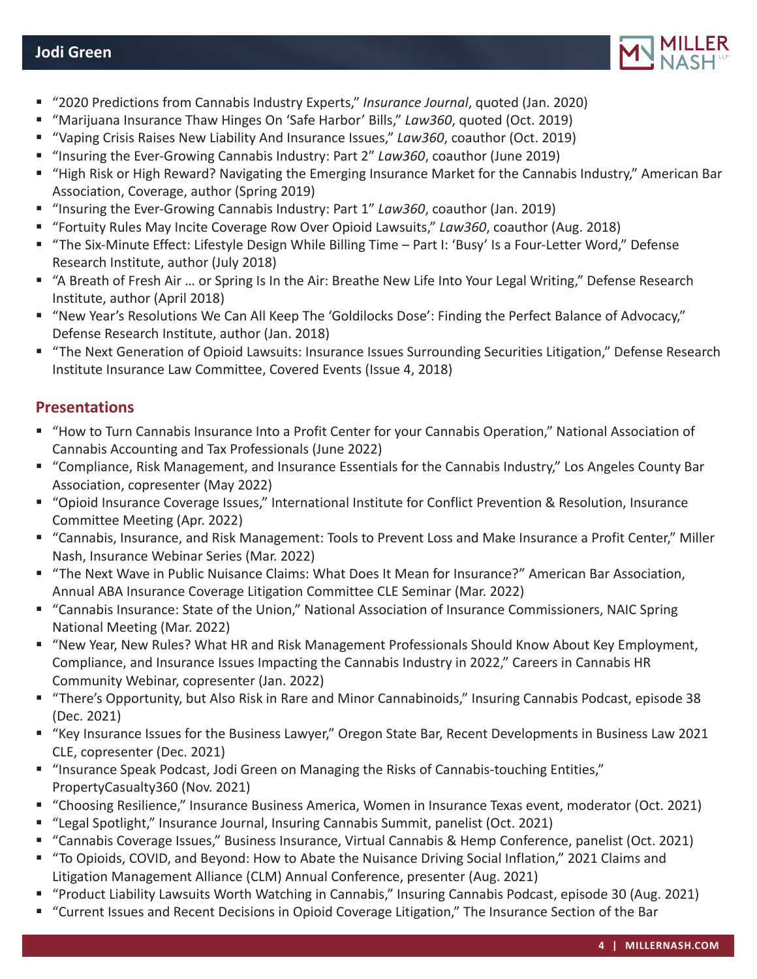

- "2020 Predictions from Cannabis Industry Experts," *Insurance Journal*, quoted (Jan. 2020)
- "Marijuana Insurance Thaw Hinges On 'Safe Harbor' Bills," *Law360*, quoted (Oct. 2019)
- "Vaping Crisis Raises New Liability And Insurance Issues," *Law360*, coauthor (Oct. 2019)
- "Insuring the Ever-Growing Cannabis Industry: Part 2" *Law360*, coauthor (June 2019)
- "High Risk or High Reward? Navigating the Emerging Insurance Market for the Cannabis Industry," American Bar Association, Coverage, author (Spring 2019)
- "Insuring the Ever-Growing Cannabis Industry: Part 1" *Law360*, coauthor (Jan. 2019)
- "Fortuity Rules May Incite Coverage Row Over Opioid Lawsuits," *Law360*, coauthor (Aug. 2018)
- "The Six-Minute Effect: Lifestyle Design While Billing Time Part I: 'Busy' Is a Four-Letter Word," Defense Research Institute, author (July 2018)
- "A Breath of Fresh Air … or Spring Is In the Air: Breathe New Life Into Your Legal Writing," Defense Research Institute, author (April 2018)
- "New Year's Resolutions We Can All Keep The 'Goldilocks Dose': Finding the Perfect Balance of Advocacy," Defense Research Institute, author (Jan. 2018)
- "The Next Generation of Opioid Lawsuits: Insurance Issues Surrounding Securities Litigation," Defense Research Institute Insurance Law Committee, Covered Events (Issue 4, 2018)

# **Presentations**

- "How to Turn Cannabis Insurance Into a Profit Center for your Cannabis Operation," National Association of Cannabis Accounting and Tax Professionals (June 2022)
- "Compliance, Risk Management, and Insurance Essentials for the Cannabis Industry," Los Angeles County Bar Association, copresenter (May 2022)
- "Opioid Insurance Coverage Issues," International Institute for Conflict Prevention & Resolution, Insurance Committee Meeting (Apr. 2022)
- "Cannabis, Insurance, and Risk Management: Tools to Prevent Loss and Make Insurance a Profit Center," Miller Nash, Insurance Webinar Series (Mar. 2022)
- "The Next Wave in Public Nuisance Claims: What Does It Mean for Insurance?" American Bar Association, Annual ABA Insurance Coverage Litigation Committee CLE Seminar (Mar. 2022)
- "Cannabis Insurance: State of the Union," National Association of Insurance Commissioners, NAIC Spring National Meeting (Mar. 2022)
- "New Year, New Rules? What HR and Risk Management Professionals Should Know About Key Employment, Compliance, and Insurance Issues Impacting the Cannabis Industry in 2022," Careers in Cannabis HR Community Webinar, copresenter (Jan. 2022)
- "There's Opportunity, but Also Risk in Rare and Minor Cannabinoids," Insuring Cannabis Podcast, episode 38 (Dec. 2021)
- "Key Insurance Issues for the Business Lawyer," Oregon State Bar, Recent Developments in Business Law 2021 CLE, copresenter (Dec. 2021)
- "Insurance Speak Podcast, Jodi Green on Managing the Risks of Cannabis-touching Entities," PropertyCasualty360 (Nov. 2021)
- "Choosing Resilience," Insurance Business America, Women in Insurance Texas event, moderator (Oct. 2021)
- "Legal Spotlight," Insurance Journal, Insuring Cannabis Summit, panelist (Oct. 2021)
- "Cannabis Coverage Issues," Business Insurance, Virtual Cannabis & Hemp Conference, panelist (Oct. 2021)
- "To Opioids, COVID, and Beyond: How to Abate the Nuisance Driving Social Inflation," 2021 Claims and Litigation Management Alliance (CLM) Annual Conference, presenter (Aug. 2021)
- "Product Liability Lawsuits Worth Watching in Cannabis," Insuring Cannabis Podcast, episode 30 (Aug. 2021)
- "Current Issues and Recent Decisions in Opioid Coverage Litigation," The Insurance Section of the Bar